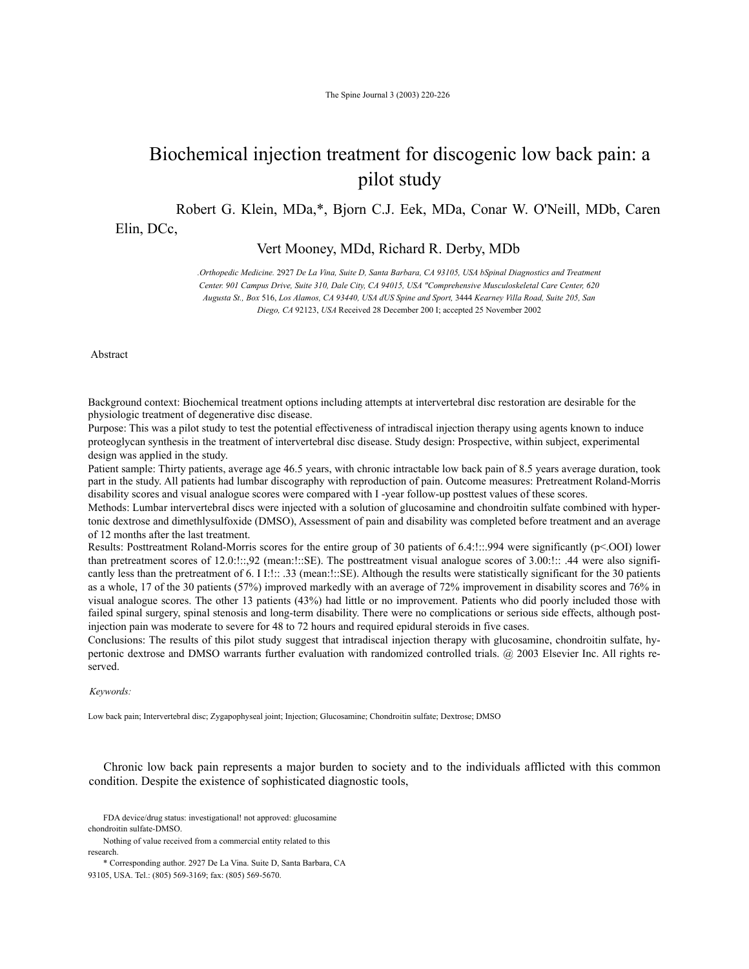# Biochemical injection treatment for discogenic low back pain: a pilot study

Robert G. Klein, MDa,\*, Bjorn C.J. Eek, MDa, Conar W. O'Neill, MDb, Caren

Elin, DCc,

Vert Mooney, MDd, Richard R. Derby, MDb

*.Orthopedic Medicine.* 2927 *De La Vina, Suite D, Santa Barbara, CA 93105, USA bSpinal Diagnostics and Treatment Center. 901 Campus Drive, Suite 310, Dale City, CA 94015, USA "Comprehensive Musculoskeletal Care Center, 620 Augusta St., Box* 516, *Los Alamos, CA 93440, USA dUS Spine and Sport,* 3444 *Kearney Villa Road, Suite 205, San Diego, CA* 92123, *USA* Received 28 December 200 I; accepted 25 November 2002

Abstract

Background context: Biochemical treatment options including attempts at intervertebral disc restoration are desirable for the physiologic treatment of degenerative disc disease.

Purpose: This was a pilot study to test the potential effectiveness of intradiscal injection therapy using agents known to induce proteoglycan synthesis in the treatment of intervertebral disc disease. Study design: Prospective, within subject, experimental design was applied in the study.

Patient sample: Thirty patients, average age 46.5 years, with chronic intractable low back pain of 8.5 years average duration, took part in the study. All patients had lumbar discography with reproduction of pain. Outcome measures: Pretreatment Roland-Morris disability scores and visual analogue scores were compared with I -year follow-up posttest values of these scores.

Methods: Lumbar intervertebral discs were injected with a solution of glucosamine and chondroitin sulfate combined with hypertonic dextrose and dimethlysulfoxide (DMSO), Assessment of pain and disability was completed before treatment and an average of 12 months after the last treatment.

Results: Posttreatment Roland-Morris scores for the entire group of 30 patients of 6.4:!::.994 were significantly (p<.OOI) lower than pretreatment scores of 12.0:!::,92 (mean:!::SE). The posttreatment visual analogue scores of 3.00:!:: .44 were also significantly less than the pretreatment of 6. I I:!:: .33 (mean:!::SE). Although the results were statistically significant for the 30 patients as a whole, 17 of the 30 patients (57%) improved markedly with an average of 72% improvement in disability scores and 76% in visual analogue scores. The other 13 patients (43%) had little or no improvement. Patients who did poorly included those with failed spinal surgery, spinal stenosis and long-term disability. There were no complications or serious side effects, although postinjection pain was moderate to severe for 48 to 72 hours and required epidural steroids in five cases.

Conclusions: The results of this pilot study suggest that intradiscal injection therapy with glucosamine, chondroitin sulfate, hypertonic dextrose and DMSO warrants further evaluation with randomized controlled trials. @ 2003 Elsevier Inc. All rights reserved.

## *Keywords:*

Low back pain; Intervertebral disc; Zygapophyseal joint; Injection; Glucosamine; Chondroitin sulfate; Dextrose; DMSO

Chronic low back pain represents a major burden to society and to the individuals afflicted with this common condition. Despite the existence of sophisticated diagnostic tools,

 FDA device/drug status: investigational! not approved: glucosamine chondroitin sulfate-DMSO.

 Nothing of value received from a commercial entity related to this research.

 \* Corresponding author. 2927 De La Vina. Suite D, Santa Barbara, CA 93105, USA. Tel.: (805) 569-3169; fax: (805) 569-5670.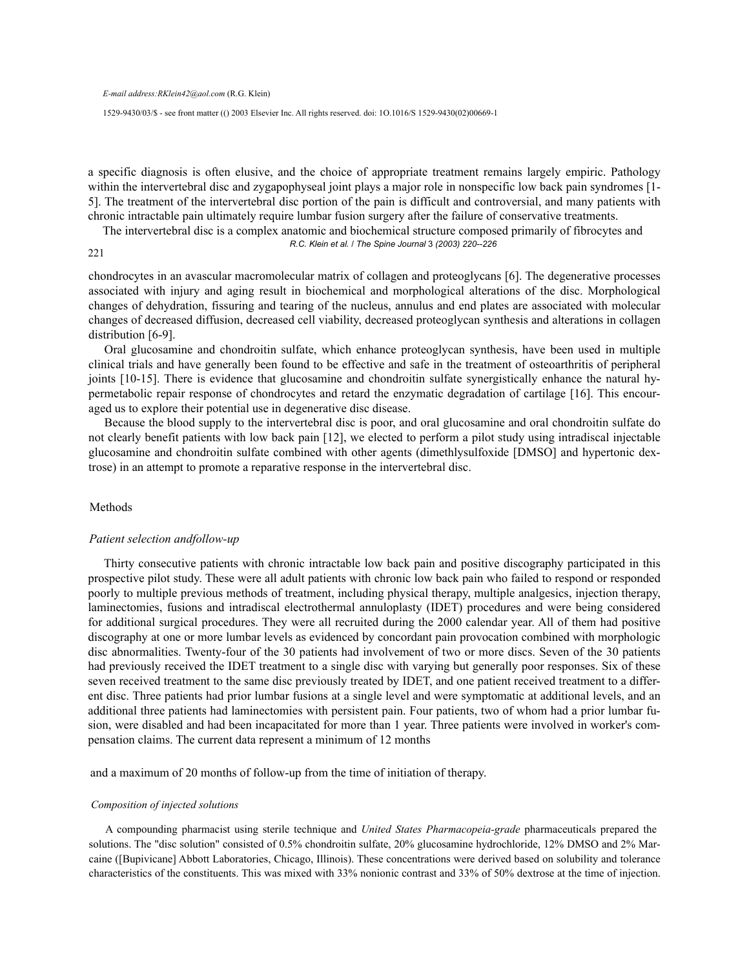*E-mail address:RKlein42@aol.com* (R.G. Klein)

1529-9430/03/\$ - see front matter (() 2003 Elsevier Inc. All rights reserved. doi: 1O.1016/S 1529-9430(02)00669-1

a specific diagnosis is often elusive, and the choice of appropriate treatment remains largely empiric. Pathology within the intervertebral disc and zygapophyseal joint plays a major role in nonspecific low back pain syndromes [1- 5]. The treatment of the intervertebral disc portion of the pain is difficult and controversial, and many patients with chronic intractable pain ultimately require lumbar fusion surgery after the failure of conservative treatments.

The intervertebral disc is a complex anatomic and biochemical structure composed primarily of fibrocytes and *R.C. Klein et al.* / *The Spine Journal* 3 *(2003) 220--226*

221

chondrocytes in an avascular macromolecular matrix of collagen and proteoglycans [6]. The degenerative processes associated with injury and aging result in biochemical and morphological alterations of the disc. Morphological changes of dehydration, fissuring and tearing of the nucleus, annulus and end plates are associated with molecular changes of decreased diffusion, decreased cell viability, decreased proteoglycan synthesis and alterations in collagen distribution [6-9].

Oral glucosamine and chondroitin sulfate, which enhance proteoglycan synthesis, have been used in multiple clinical trials and have generally been found to be effective and safe in the treatment of osteoarthritis of peripheral joints [10-15]. There is evidence that glucosamine and chondroitin sulfate synergistically enhance the natural hypermetabolic repair response of chondrocytes and retard the enzymatic degradation of cartilage [16]. This encouraged us to explore their potential use in degenerative disc disease.

Because the blood supply to the intervertebral disc is poor, and oral glucosamine and oral chondroitin sulfate do not clearly benefit patients with low back pain [12], we elected to perform a pilot study using intradiscal injectable glucosamine and chondroitin sulfate combined with other agents (dimethlysulfoxide [DMSO] and hypertonic dextrose) in an attempt to promote a reparative response in the intervertebral disc.

## Methods

## *Patient selection andfollow-up*

Thirty consecutive patients with chronic intractable low back pain and positive discography participated in this prospective pilot study. These were all adult patients with chronic low back pain who failed to respond or responded poorly to multiple previous methods of treatment, including physical therapy, multiple analgesics, injection therapy, laminectomies, fusions and intradiscal electrothermal annuloplasty (IDET) procedures and were being considered for additional surgical procedures. They were all recruited during the 2000 calendar year. All of them had positive discography at one or more lumbar levels as evidenced by concordant pain provocation combined with morphologic disc abnormalities. Twenty-four of the 30 patients had involvement of two or more discs. Seven of the 30 patients had previously received the IDET treatment to a single disc with varying but generally poor responses. Six of these seven received treatment to the same disc previously treated by IDET, and one patient received treatment to a different disc. Three patients had prior lumbar fusions at a single level and were symptomatic at additional levels, and an additional three patients had laminectomies with persistent pain. Four patients, two of whom had a prior lumbar fusion, were disabled and had been incapacitated for more than 1 year. Three patients were involved in worker's compensation claims. The current data represent a minimum of 12 months

and a maximum of 20 months of follow-up from the time of initiation of therapy.

#### *Composition of injected solutions*

A compounding pharmacist using sterile technique and *United States Pharmacopeia-grade* pharmaceuticals prepared the solutions. The "disc solution" consisted of 0.5% chondroitin sulfate, 20% glucosamine hydrochloride, 12% DMSO and 2% Marcaine ([Bupivicane] Abbott Laboratories, Chicago, Illinois). These concentrations were derived based on solubility and tolerance characteristics of the constituents. This was mixed with 33% nonionic contrast and 33% of 50% dextrose at the time of injection.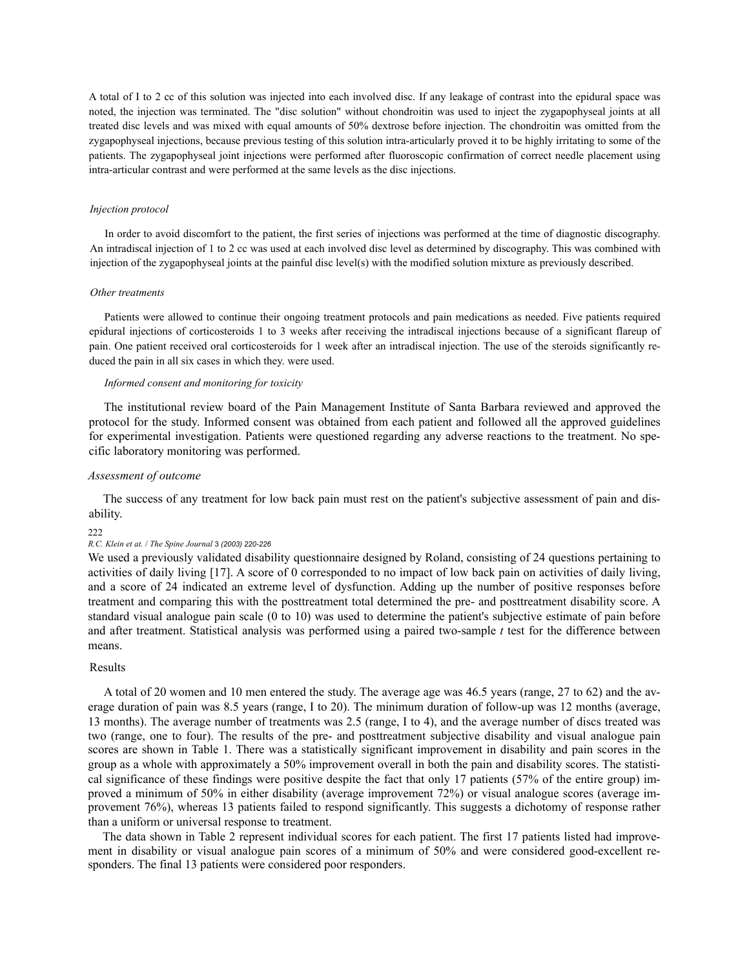A total of I to 2 cc of this solution was injected into each involved disc. If any leakage of contrast into the epidural space was noted, the injection was terminated. The "disc solution" without chondroitin was used to inject the zygapophyseal joints at all treated disc levels and was mixed with equal amounts of 50% dextrose before injection. The chondroitin was omitted from the zygapophyseal injections, because previous testing of this solution intra-articularly proved it to be highly irritating to some of the patients. The zygapophyseal joint injections were performed after fluoroscopic confirmation of correct needle placement using intra-articular contrast and were performed at the same levels as the disc injections.

## *Injection protocol*

In order to avoid discomfort to the patient, the first series of injections was performed at the time of diagnostic discography. An intradiscal injection of 1 to 2 cc was used at each involved disc level as determined by discography. This was combined with injection of the zygapophyseal joints at the painful disc level(s) with the modified solution mixture as previously described.

#### *Other treatments*

Patients were allowed to continue their ongoing treatment protocols and pain medications as needed. Five patients required epidural injections of corticosteroids 1 to 3 weeks after receiving the intradiscal injections because of a significant flareup of pain. One patient received oral corticosteroids for 1 week after an intradiscal injection. The use of the steroids significantly reduced the pain in all six cases in which they. were used.

# *Informed consent and monitoring for toxicity*

The institutional review board of the Pain Management Institute of Santa Barbara reviewed and approved the protocol for the study. Informed consent was obtained from each patient and followed all the approved guidelines for experimental investigation. Patients were questioned regarding any adverse reactions to the treatment. No specific laboratory monitoring was performed.

# *Assessment of outcome*

The success of any treatment for low back pain must rest on the patient's subjective assessment of pain and disability.

#### 222

# *R.C. Klein et at.* / *The Spine Journal* 3 *(2003) 220-226*

We used a previously validated disability questionnaire designed by Roland, consisting of 24 questions pertaining to activities of daily living [17]. A score of 0 corresponded to no impact of low back pain on activities of daily living, and a score of 24 indicated an extreme level of dysfunction. Adding up the number of positive responses before treatment and comparing this with the posttreatment total determined the pre- and posttreatment disability score. A standard visual analogue pain scale (0 to 10) was used to determine the patient's subjective estimate of pain before and after treatment. Statistical analysis was performed using a paired two-sample *t* test for the difference between means.

# Results

A total of 20 women and 10 men entered the study. The average age was 46.5 years (range, 27 to 62) and the average duration of pain was 8.5 years (range, I to 20). The minimum duration of follow-up was 12 months (average, 13 months). The average number of treatments was 2.5 (range, I to 4), and the average number of discs treated was two (range, one to four). The results of the pre- and posttreatment subjective disability and visual analogue pain scores are shown in Table 1. There was a statistically significant improvement in disability and pain scores in the group as a whole with approximately a 50% improvement overall in both the pain and disability scores. The statistical significance of these findings were positive despite the fact that only 17 patients (57% of the entire group) improved a minimum of 50% in either disability (average improvement 72%) or visual analogue scores (average improvement 76%), whereas 13 patients failed to respond significantly. This suggests a dichotomy of response rather than a uniform or universal response to treatment.

The data shown in Table 2 represent individual scores for each patient. The first 17 patients listed had improvement in disability or visual analogue pain scores of a minimum of 50% and were considered good-excellent responders. The final 13 patients were considered poor responders.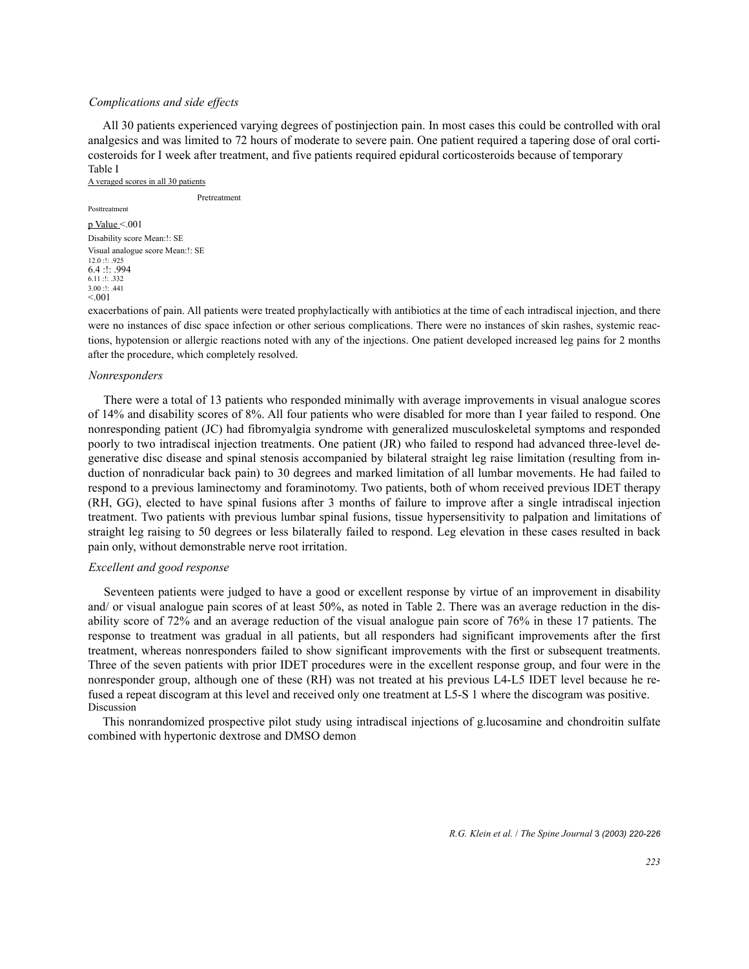# *Complications and side effects*

All 30 patients experienced varying degrees of postinjection pain. In most cases this could be controlled with oral analgesics and was limited to 72 hours of moderate to severe pain. One patient required a tapering dose of oral corticosteroids for I week after treatment, and five patients required epidural corticosteroids because of temporary Table I

A veraged scores in all 30 patients

Pretreatment

# Posttreatment

p Value <.001 Disability score Mean:!: SE Visual analogue score Mean:!: SE 12.0 :!: .925 6.4 :!: .994 6.11 :!: .332 3.00 :!: .441  $< 0.01$ 

exacerbations of pain. All patients were treated prophylactically with antibiotics at the time of each intradiscal injection, and there were no instances of disc space infection or other serious complications. There were no instances of skin rashes, systemic reactions, hypotension or allergic reactions noted with any of the injections. One patient developed increased leg pains for 2 months after the procedure, which completely resolved.

## *Nonresponders*

There were a total of 13 patients who responded minimally with average improvements in visual analogue scores of 14% and disability scores of 8%. All four patients who were disabled for more than I year failed to respond. One nonresponding patient (JC) had fibromyalgia syndrome with generalized musculoskeletal symptoms and responded poorly to two intradiscal injection treatments. One patient (JR) who failed to respond had advanced three-level degenerative disc disease and spinal stenosis accompanied by bilateral straight leg raise limitation (resulting from induction of nonradicular back pain) to 30 degrees and marked limitation of all lumbar movements. He had failed to respond to a previous laminectomy and foraminotomy. Two patients, both of whom received previous IDET therapy (RH, GG), elected to have spinal fusions after 3 months of failure to improve after a single intradiscal injection treatment. Two patients with previous lumbar spinal fusions, tissue hypersensitivity to palpation and limitations of straight leg raising to 50 degrees or less bilaterally failed to respond. Leg elevation in these cases resulted in back pain only, without demonstrable nerve root irritation.

# *Excellent and good response*

Seventeen patients were judged to have a good or excellent response by virtue of an improvement in disability and/ or visual analogue pain scores of at least 50%, as noted in Table 2. There was an average reduction in the disability score of 72% and an average reduction of the visual analogue pain score of 76% in these 17 patients. The response to treatment was gradual in all patients, but all responders had significant improvements after the first treatment, whereas nonresponders failed to show significant improvements with the first or subsequent treatments. Three of the seven patients with prior IDET procedures were in the excellent response group, and four were in the nonresponder group, although one of these (RH) was not treated at his previous L4-L5 IDET level because he refused a repeat discogram at this level and received only one treatment at L5-S 1 where the discogram was positive. **Discussion** 

This nonrandomized prospective pilot study using intradiscal injections of g.lucosamine and chondroitin sulfate combined with hypertonic dextrose and DMSO demon

*R.G. Klein et al.* / *The Spine Journal* 3 *(2003) 220-226*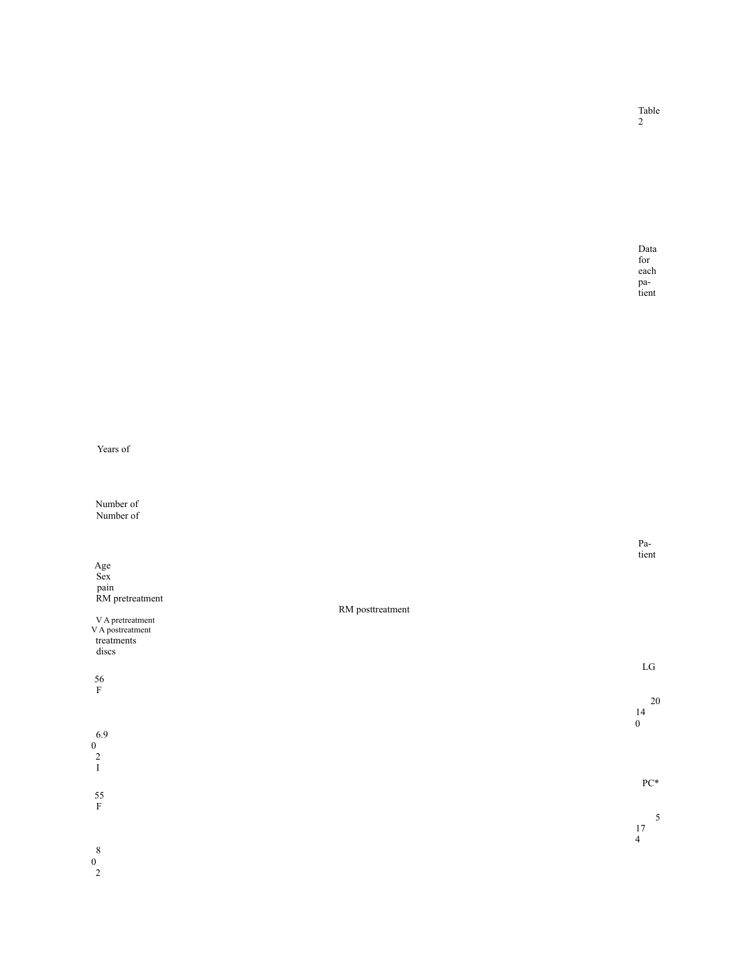|                                                           |                  | tient              |
|-----------------------------------------------------------|------------------|--------------------|
| $\begin{array}{c}\n\text{Age} \\ \text{Sex}\n\end{array}$ |                  |                    |
|                                                           |                  |                    |
| pain<br>RM pretreatment                                   |                  |                    |
|                                                           | RM posttreatment |                    |
| V A pretreatment                                          |                  |                    |
| V A postreatment                                          |                  |                    |
| $treatments$                                              |                  |                    |
| discs                                                     |                  |                    |
|                                                           |                  | ${\rm LG}$         |
| 56                                                        |                  |                    |
| $\mathbf F$                                               |                  |                    |
|                                                           |                  | 20<br>14           |
|                                                           |                  | $\boldsymbol{0}$   |
| 6.9                                                       |                  |                    |
|                                                           |                  |                    |
| $\begin{smallmatrix}0\0\2\end{smallmatrix}$               |                  |                    |
| $\rm I$                                                   |                  |                    |
|                                                           |                  | ${\rm P}{\rm C}^*$ |
| 55                                                        |                  |                    |
| $\mathbf F$                                               |                  |                    |
|                                                           |                  | $\sqrt{5}$         |
|                                                           |                  | 17                 |
| $8\phantom{1}$                                            |                  | $\overline{4}$     |
| $\Omega$                                                  |                  |                    |

Number of Number of

0 2

Years of

Data for each pa tient

Pa -

Table 2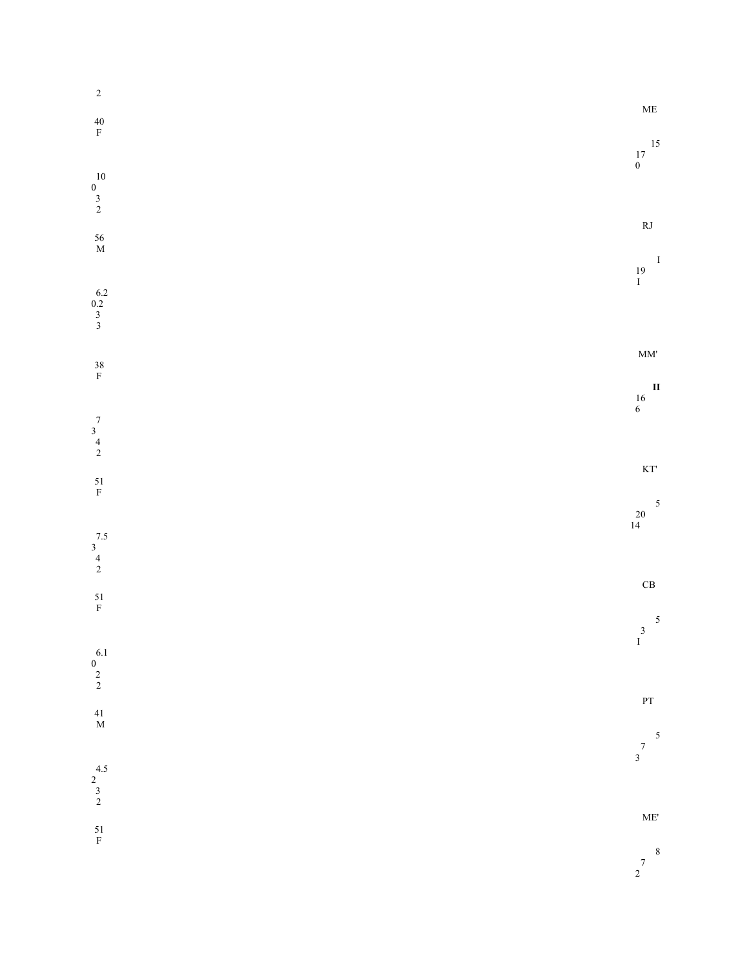|                                              | $\rm ME$                                 |
|----------------------------------------------|------------------------------------------|
| $\begin{array}{c} 15 \\ 17 \\ 0 \end{array}$ |                                          |
|                                              |                                          |
|                                              | $\mathbf{R}\mathbf{J}$<br>$\blacksquare$ |
| $\frac{19}{I}$                               |                                          |
|                                              |                                          |
|                                              | $\text{MM}^\text{\text{!`}}$             |
| $\begin{array}{c} 16 \\ 6 \end{array}$       | $\mathbf{I}$                             |
|                                              |                                          |
|                                              | $\mathop{\mathrm{KT}}$                   |
| $\begin{array}{c} 20 \\ 14 \end{array}$      | 5                                        |
|                                              |                                          |
|                                              | $\operatorname{CB}$                      |
| $\begin{matrix} 3 \\ 1 \end{matrix}$         |                                          |
|                                              |                                          |
|                                              | $\mathbf{PT}$                            |
| $\begin{array}{c} 7 \\ 3 \end{array}$        | $\overline{\phantom{a}}$                 |
|                                              |                                          |
|                                              | ME'                                      |
| $\begin{array}{c} 7 \\ 2 \end{array}$        | $\overline{\mathbf{8}}$                  |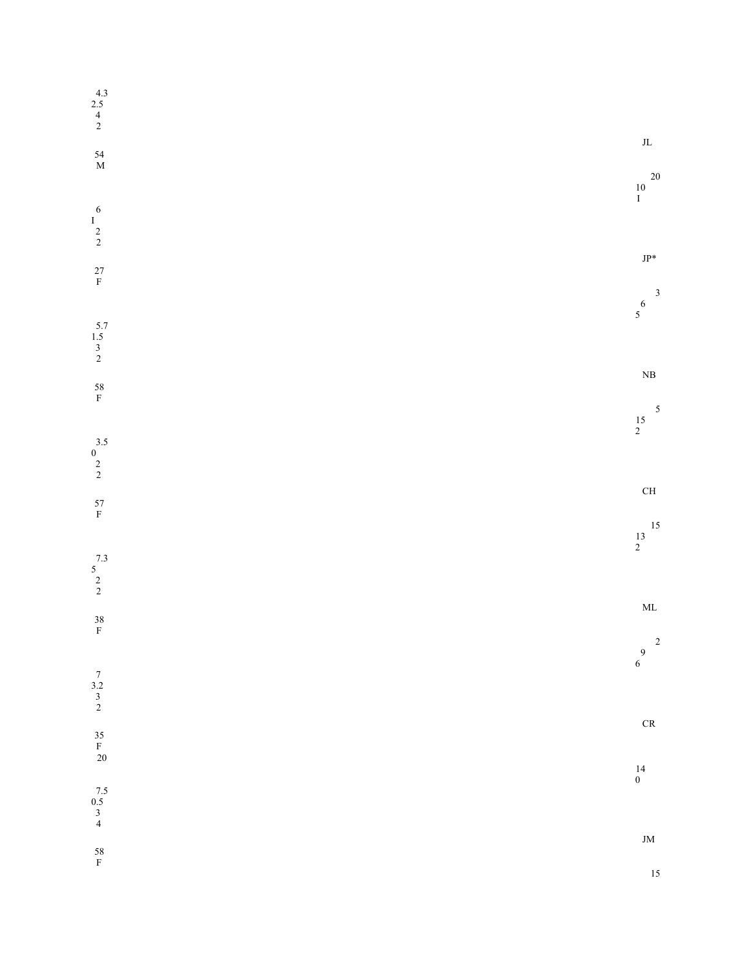| $2.5$<br>$4$<br>$2$                                   |                                        |                         |
|-------------------------------------------------------|----------------------------------------|-------------------------|
| $^{54}_\mathrm{M}$                                    |                                        | $\rm JL$                |
|                                                       | $\begin{array}{c} 10 \\ I \end{array}$ | 20                      |
| $\begin{matrix} & 6 \\ 1 \\ 2 \\ 2 \end{matrix}$      |                                        |                         |
| $^{27}_{\hbox{\scriptsize F}}$                        |                                        | $JP*$                   |
|                                                       | $\begin{matrix}6\\5\end{matrix}$       | $\overline{\mathbf{3}}$ |
| $\frac{5.7}{1.5}$<br>3<br>2                           |                                        |                         |
| $58 \over {\rm F}$                                    |                                        | $\rm NB$                |
|                                                       | $\frac{15}{2}$                         | $\overline{\mathbf{5}}$ |
| $\begin{array}{c} 3.5 \\ 0 \\ 2 \\ 2 \end{array}$     |                                        |                         |
| $^{57}_\mathrm{F}$                                    |                                        | $\rm CH$                |
|                                                       | $\begin{array}{c} 13 \\ 2 \end{array}$ | 15                      |
| $\begin{array}{c} 7.3 \\ 5 \\ 2 \\ 2 \end{array}$     |                                        |                         |
| $\frac{38}{F}$                                        |                                        | $\mbox{ML}$             |
|                                                       | $\begin{array}{c} 9 \\ 6 \end{array}$  | $\overline{\mathbf{c}}$ |
| $\begin{array}{c} 7 \\ 3.2 \\ 3 \\ 2 \end{array}$     |                                        |                         |
| $\begin{array}{c} 35 \\ \mathrm{F} \\ 20 \end{array}$ |                                        | $\mathsf{CR}$           |
|                                                       | $_0^{14}$                              |                         |
| $7.5$<br>0.5<br>3<br>4                                |                                        |                         |
| $58 \over {\rm F}$                                    |                                        | $\,$ JM $\,$<br>15      |
|                                                       |                                        |                         |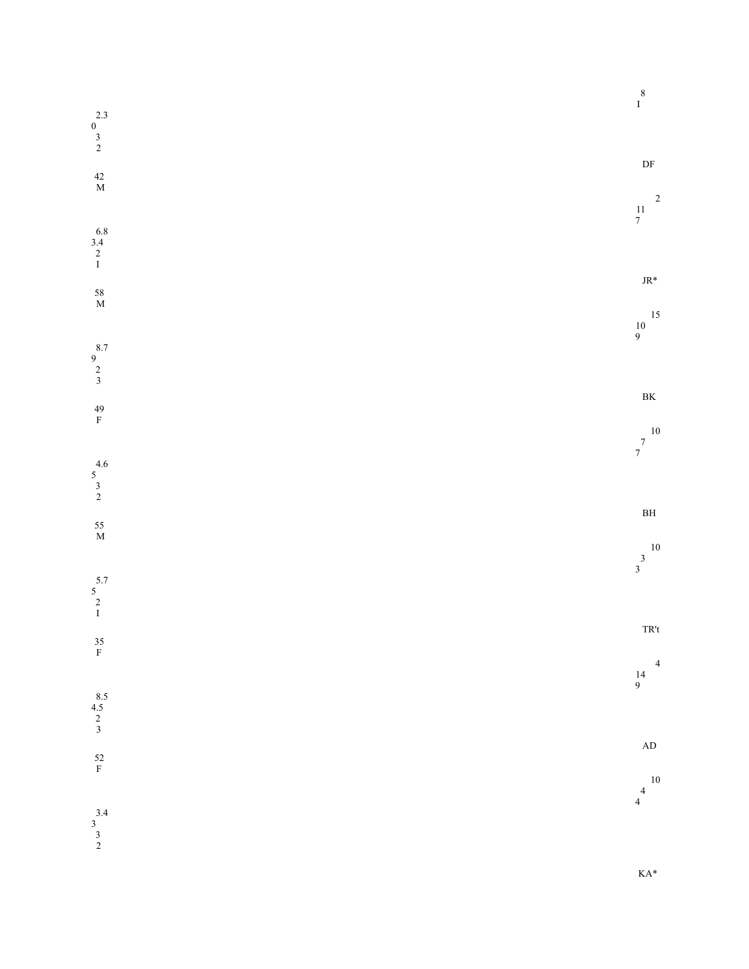|                                                   |  | $\begin{array}{c} 8 \\ 1 \end{array}$                      |                         |
|---------------------------------------------------|--|------------------------------------------------------------|-------------------------|
| $\begin{array}{c} 2.3 \\ 0 \\ 3 \\ 2 \end{array}$ |  |                                                            |                         |
| $\begin{array}{c} 42 \\ \textrm{M} \end{array}$   |  | $\ensuremath{\mathsf{DF}}$                                 | $\overline{\mathbf{c}}$ |
| $6.8$<br>3.4<br>2<br>I                            |  | $\frac{11}{7}$                                             |                         |
| $^{58}_{\hbox{\scriptsize M}}$                    |  | $\text{JR}^*$                                              |                         |
|                                                   |  | $\begin{array}{c} 10 \\ 9 \end{array}$                     | $15\,$                  |
| $\begin{array}{c} 8.7 \\ 9 \\ 2 \\ 3 \end{array}$ |  | $\rm BK$                                                   |                         |
| $^{49}_{\hbox{F}}$                                |  | $\begin{array}{c} 10 \\ 7 \end{array}$<br>$\boldsymbol{7}$ |                         |
| $\begin{array}{c} 4.6 \\ 5 \\ 3 \\ 2 \end{array}$ |  |                                                            |                         |
| $\frac{55}{M}$                                    |  | $\mathbf{B} \mathbf{H}$                                    | $10\,$                  |
| $\begin{array}{c} 5.7 \\ 5 \\ 2 \\ 1 \end{array}$ |  | $\frac{3}{3}$                                              |                         |
| $^{35}_\mathrm{F}$                                |  | $\ensuremath{\mathsf{T}}\ensuremath{\mathsf{R}}\xspace$ t  |                         |
| $8.5$<br>$4.5$<br>$2$<br>$3$                      |  | $\begin{array}{c} 14 \\ 9 \end{array}$                     | $\overline{4}$          |
|                                                   |  | $\mathbf{A}\mathbf{D}$                                     |                         |
| $52\,$ F                                          |  | $\overline{4}$<br>$\overline{4}$                           | $10\,$                  |
| $\begin{array}{c} 3.4 \\ 3 \\ 3 \\ 2 \end{array}$ |  |                                                            |                         |

KA\*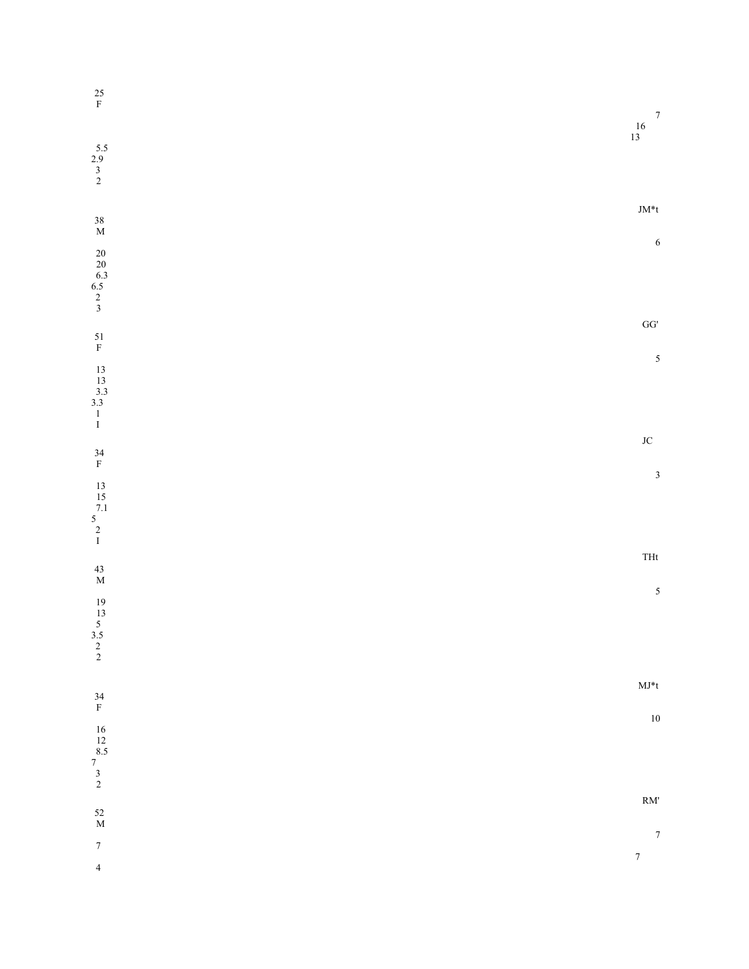| $_{\rm F}^{25}$                                                  | $\boldsymbol{7}$                                                                                            |
|------------------------------------------------------------------|-------------------------------------------------------------------------------------------------------------|
|                                                                  | $\frac{16}{13}$                                                                                             |
| $\frac{5.5}{2.9}$<br>3<br>2                                      |                                                                                                             |
|                                                                  | $\mathrm{JM}^*$ t                                                                                           |
| $^{38}_{\hbox{\scriptsize M}}$                                   | 6                                                                                                           |
| $20$<br>$6.3$<br>$6.5$<br>$2$<br>$3$                             |                                                                                                             |
|                                                                  |                                                                                                             |
| $51 \over {\rm F}$                                               | $\mathbf{G}\mathbf{G}^{\prime}$                                                                             |
|                                                                  | $\overline{5}$                                                                                              |
| $\begin{bmatrix} 13 \\ 13 \\ 3.3 \\ 3.3 \\ 1 \\ 1 \end{bmatrix}$ |                                                                                                             |
|                                                                  | $\rm JC$                                                                                                    |
| $^{34}_\mathrm{F}$                                               | $\mathfrak{Z}$                                                                                              |
| $\begin{array}{c} 13 \\ 15 \\ 7.1 \\ 5 \\ 2 \\ 1 \end{array}$    |                                                                                                             |
|                                                                  | $\operatorname*{THt}% \nolimits_{\mathbb{Z}}\left( \mathbb{Z}^{\Sigma\left( 1\right) }\right) ^{\otimes n}$ |
| $^{43}_{\hbox{\scriptsize M}}$                                   |                                                                                                             |
|                                                                  | $\sqrt{5}$                                                                                                  |
| $\begin{array}{c} 19 \\ 13 \\ 5 \\ 3.5 \\ 2 \\ 2 \end{array}$    |                                                                                                             |
|                                                                  | $\mathbf{M}\mathbf{J}^*$ t                                                                                  |
| $^{34}_\mathrm{F}$                                               | $10\,$                                                                                                      |
|                                                                  |                                                                                                             |
| $\begin{array}{c} 16 \\ 12 \\ 8.5 \\ 7 \\ 3 \\ 2 \end{array}$    |                                                                                                             |
| $^{52}_{\hbox{\scriptsize M}}$                                   | $RM$                                                                                                        |
| $\boldsymbol{7}$                                                 | $\boldsymbol{7}$                                                                                            |
| $\sqrt{4}$                                                       | $\boldsymbol{7}$                                                                                            |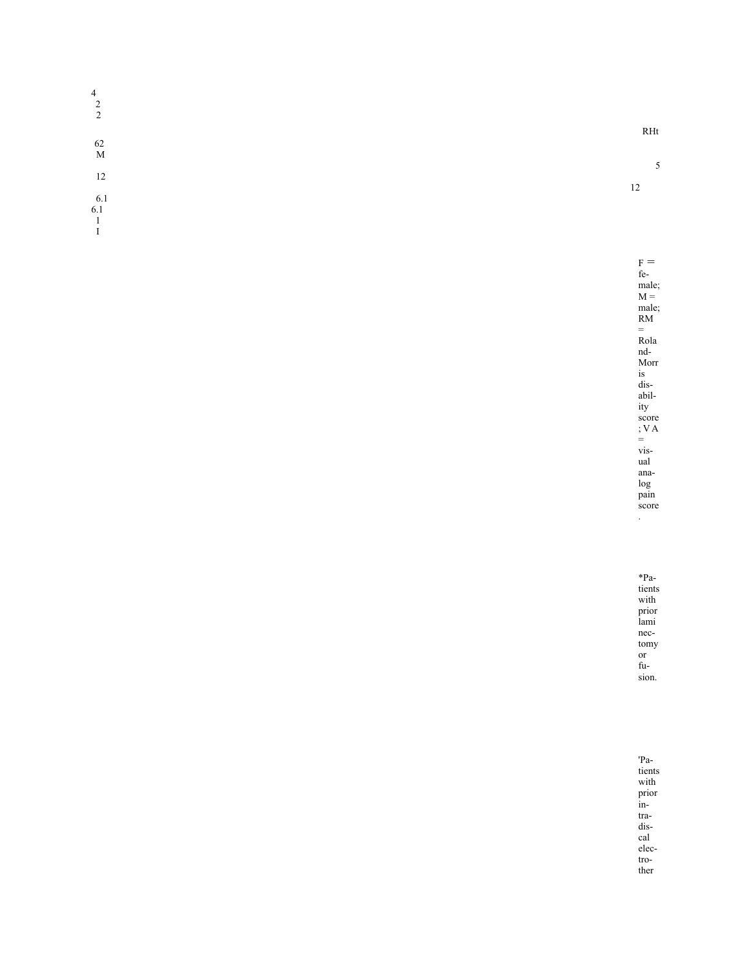| $\overline{4}$ |  |  |     |
|----------------|--|--|-----|
| $\overline{2}$ |  |  |     |
| $\overline{2}$ |  |  |     |
|                |  |  | RHt |
| 62             |  |  |     |
| M              |  |  |     |
|                |  |  | э   |
| 12             |  |  | 12  |
| 6.1            |  |  |     |
| 6.1            |  |  |     |
|                |  |  |     |
|                |  |  |     |

 $_F =$ fe male;  $M =$ male; RM = Rola nd-Morr is dis abil ity score ; V A = vis ual ana log pain score .

\*Pa tients with prior lami nec tomy or fu sion.

'Pa tients with prior in tra dis cal elec tro ther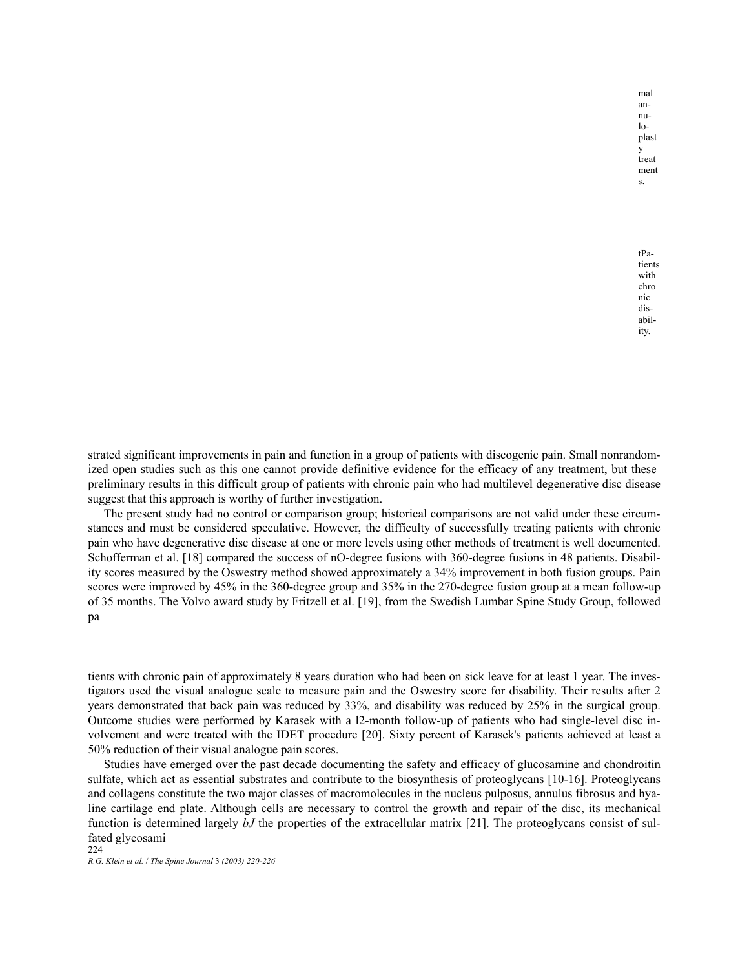mal annu- $1<sub>0</sub>$ plast y treat ment s.

tPatients with chro nic disability.

strated significant improvements in pain and function in a group of patients with discogenic pain. Small nonrandomized open studies such as this one cannot provide definitive evidence for the efficacy of any treatment, but these preliminary results in this difficult group of patients with chronic pain who had multilevel degenerative disc disease suggest that this approach is worthy of further investigation.

The present study had no control or comparison group; historical comparisons are not valid under these circumstances and must be considered speculative. However, the difficulty of successfully treating patients with chronic pain who have degenerative disc disease at one or more levels using other methods of treatment is well documented. Schofferman et al. [18] compared the success of nO-degree fusions with 360-degree fusions in 48 patients. Disability scores measured by the Oswestry method showed approximately a 34% improvement in both fusion groups. Pain scores were improved by 45% in the 360-degree group and 35% in the 270-degree fusion group at a mean follow-up of 35 months. The Volvo award study by Fritzell et al. [19], from the Swedish Lumbar Spine Study Group, followed pa

tients with chronic pain of approximately 8 years duration who had been on sick leave for at least 1 year. The investigators used the visual analogue scale to measure pain and the Oswestry score for disability. Their results after 2 years demonstrated that back pain was reduced by 33%, and disability was reduced by 25% in the surgical group. Outcome studies were performed by Karasek with a l2-month follow-up of patients who had single-level disc involvement and were treated with the IDET procedure [20]. Sixty percent of Karasek's patients achieved at least a 50% reduction of their visual analogue pain scores.

Studies have emerged over the past decade documenting the safety and efficacy of glucosamine and chondroitin sulfate, which act as essential substrates and contribute to the biosynthesis of proteoglycans [10-16]. Proteoglycans and collagens constitute the two major classes of macromolecules in the nucleus pulposus, annulus fibrosus and hyaline cartilage end plate. Although cells are necessary to control the growth and repair of the disc, its mechanical function is determined largely *bJ* the properties of the extracellular matrix [21]. The proteoglycans consist of sulfated glycosami 224

*R.G. Klein et al.* / *The Spine Journal* 3 *(2003) 220-226*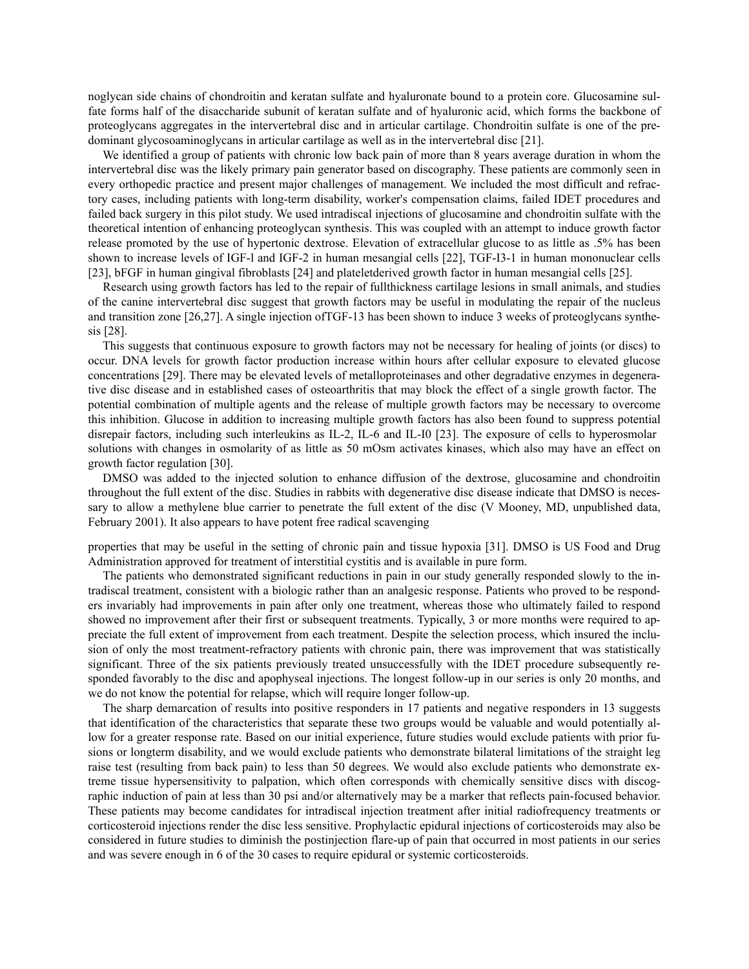noglycan side chains of chondroitin and keratan sulfate and hyaluronate bound to a protein core. Glucosamine sulfate forms half of the disaccharide subunit of keratan sulfate and of hyaluronic acid, which forms the backbone of proteoglycans aggregates in the intervertebral disc and in articular cartilage. Chondroitin sulfate is one of the predominant glycosoaminoglycans in articular cartilage as well as in the intervertebral disc [21].

We identified a group of patients with chronic low back pain of more than 8 years average duration in whom the intervertebral disc was the likely primary pain generator based on discography. These patients are commonly seen in every orthopedic practice and present major challenges of management. We included the most difficult and refractory cases, including patients with long-term disability, worker's compensation claims, failed IDET procedures and failed back surgery in this pilot study. We used intradiscal injections of glucosamine and chondroitin sulfate with the theoretical intention of enhancing proteoglycan synthesis. This was coupled with an attempt to induce growth factor release promoted by the use of hypertonic dextrose. Elevation of extracellular glucose to as little as .5% has been shown to increase levels of IGF-l and IGF-2 in human mesangial cells [22], TGF-I3-1 in human mononuclear cells [23], bFGF in human gingival fibroblasts [24] and plateletderived growth factor in human mesangial cells [25].

Research using growth factors has led to the repair of fullthickness cartilage lesions in small animals, and studies of the canine intervertebral disc suggest that growth factors may be useful in modulating the repair of the nucleus and transition zone [26,27]. A single injection ofTGF-13 has been shown to induce 3 weeks of proteoglycans synthesis [28].

This suggests that continuous exposure to growth factors may not be necessary for healing of joints (or discs) to occur. DNA levels for growth factor production increase within hours after cellular exposure to elevated glucose concentrations [29]. There may be elevated levels of metalloproteinases and other degradative enzymes in degenerative disc disease and in established cases of osteoarthritis that may block the effect of a single growth factor. The potential combination of multiple agents and the release of multiple growth factors may be necessary to overcome this inhibition. Glucose in addition to increasing multiple growth factors has also been found to suppress potential disrepair factors, including such interleukins as IL-2, IL-6 and IL-I0 [23]. The exposure of cells to hyperosmolar solutions with changes in osmolarity of as little as 50 mOsm activates kinases, which also may have an effect on growth factor regulation [30].

DMSO was added to the injected solution to enhance diffusion of the dextrose, glucosamine and chondroitin throughout the full extent of the disc. Studies in rabbits with degenerative disc disease indicate that DMSO is necessary to allow a methylene blue carrier to penetrate the full extent of the disc (V Mooney, MD, unpublished data, February 2001). It also appears to have potent free radical scavenging

properties that may be useful in the setting of chronic pain and tissue hypoxia [31]. DMSO is US Food and Drug Administration approved for treatment of interstitial cystitis and is available in pure form.

The patients who demonstrated significant reductions in pain in our study generally responded slowly to the intradiscal treatment, consistent with a biologic rather than an analgesic response. Patients who proved to be responders invariably had improvements in pain after only one treatment, whereas those who ultimately failed to respond showed no improvement after their first or subsequent treatments. Typically, 3 or more months were required to appreciate the full extent of improvement from each treatment. Despite the selection process, which insured the inclusion of only the most treatment-refractory patients with chronic pain, there was improvement that was statistically significant. Three of the six patients previously treated unsuccessfully with the IDET procedure subsequently responded favorably to the disc and apophyseal injections. The longest follow-up in our series is only 20 months, and we do not know the potential for relapse, which will require longer follow-up.

The sharp demarcation of results into positive responders in 17 patients and negative responders in 13 suggests that identification of the characteristics that separate these two groups would be valuable and would potentially allow for a greater response rate. Based on our initial experience, future studies would exclude patients with prior fusions or longterm disability, and we would exclude patients who demonstrate bilateral limitations of the straight leg raise test (resulting from back pain) to less than 50 degrees. We would also exclude patients who demonstrate extreme tissue hypersensitivity to palpation, which often corresponds with chemically sensitive discs with discographic induction of pain at less than 30 psi and/or alternatively may be a marker that reflects pain-focused behavior. These patients may become candidates for intradiscal injection treatment after initial radiofrequency treatments or corticosteroid injections render the disc less sensitive. Prophylactic epidural injections of corticosteroids may also be considered in future studies to diminish the postinjection flare-up of pain that occurred in most patients in our series and was severe enough in 6 of the 30 cases to require epidural or systemic corticosteroids.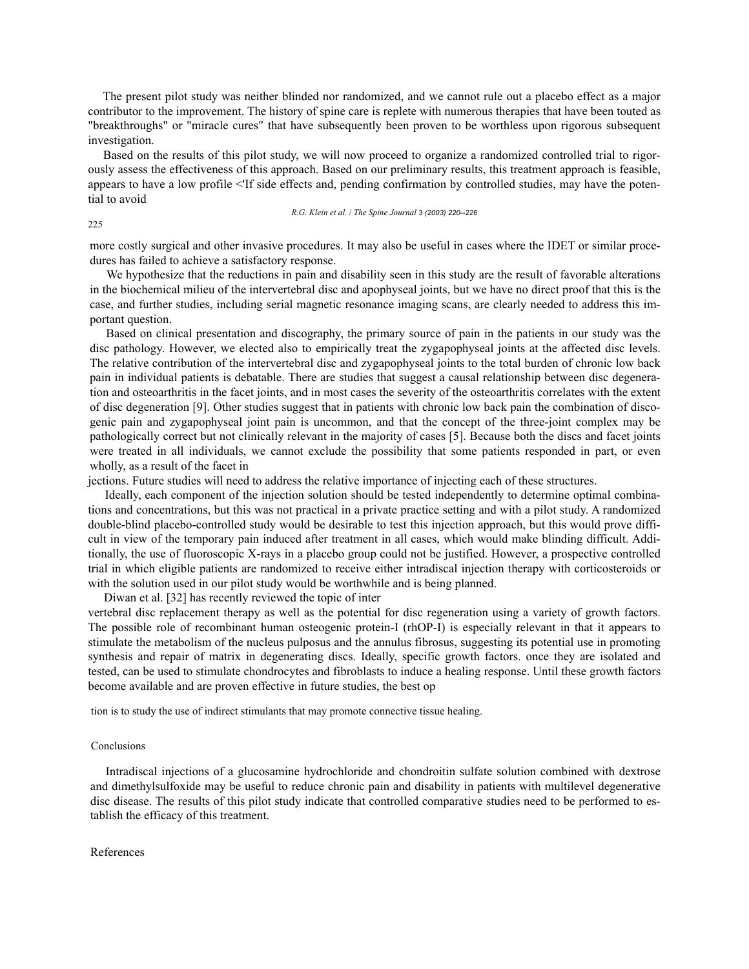The present pilot study was neither blinded nor randomized, and we cannot rule out a placebo effect as a major contributor to the improvement. The history of spine care is replete with numerous therapies that have been touted as "breakthroughs" or "miracle cures" that have subsequently been proven to be worthless upon rigorous subsequent investigation.

Based on the results of this pilot study, we will now proceed to organize a randomized controlled trial to rigorously assess the effectiveness of this approach. Based on our preliminary results, this treatment approach is feasible, appears to have a low profile <'If side effects and, pending confirmation by controlled studies, may have the potential to avoid

*R.G. Klein et al.* / *The Spine Journal* 3 *(2003) 220--226*

225

more costly surgical and other invasive procedures. It may also be useful in cases where the IDET or similar procedures has failed to achieve a satisfactory response.

We hypothesize that the reductions in pain and disability seen in this study are the result of favorable alterations in the biochemical milieu of the intervertebral disc and apophyseal joints, but we have no direct proof that this is the case, and further studies, including serial magnetic resonance imaging scans, are clearly needed to address this important question.

Based on clinical presentation and discography, the primary source of pain in the patients in our study was the disc pathology. However, we elected also to empirically treat the zygapophyseal joints at the affected disc levels. The relative contribution of the intervertebral disc and zygapophyseal joints to the total burden of chronic low back pain in individual patients is debatable. There are studies that suggest a causal relationship between disc degeneration and osteoarthritis in the facet joints, and in most cases the severity of the osteoarthritis correlates with the extent of disc degeneration [9]. Other studies suggest that in patients with chronic low back pain the combination of discogenic pain and zygapophyseal joint pain is uncommon, and that the concept of the three-joint complex may be pathologically correct but not clinically relevant in the majority of cases [5]. Because both the discs and facet joints were treated in all individuals, we cannot exclude the possibility that some patients responded in part, or even wholly, as a result of the facet in

jections. Future studies will need to address the relative importance of injecting each of these structures.

Ideally, each component of the injection solution should be tested independently to determine optimal combinations and concentrations, but this was not practical in a private practice setting and with a pilot study. A randomized double-blind placebo-controlled study would be desirable to test this injection approach, but this would prove difficult in view of the temporary pain induced after treatment in all cases, which would make blinding difficult. Additionally, the use of fluoroscopic X-rays in a placebo group could not be justified. However, a prospective controlled trial in which eligible patients are randomized to receive either intradiscal injection therapy with corticosteroids or with the solution used in our pilot study would be worthwhile and is being planned.

Diwan et al. [32] has recently reviewed the topic of inter

vertebral disc replacement therapy as well as the potential for disc regeneration using a variety of growth factors. The possible role of recombinant human osteogenic protein-I (rhOP-I) is especially relevant in that it appears to stimulate the metabolism of the nucleus pulposus and the annulus fibrosus, suggesting its potential use in promoting synthesis and repair of matrix in degenerating discs. Ideally, specific growth factors. once they are isolated and tested, can be used to stimulate chondrocytes and fibroblasts to induce a healing response. Until these growth factors become available and are proven effective in future studies, the best op

tion is to study the use of indirect stimulants that may promote connective tissue healing.

## Conclusions

Intradiscal injections of a glucosamine hydrochloride and chondroitin sulfate solution combined with dextrose and dimethylsulfoxide may be useful to reduce chronic pain and disability in patients with multilevel degenerative disc disease. The results of this pilot study indicate that controlled comparative studies need to be performed to establish the efficacy of this treatment.

## References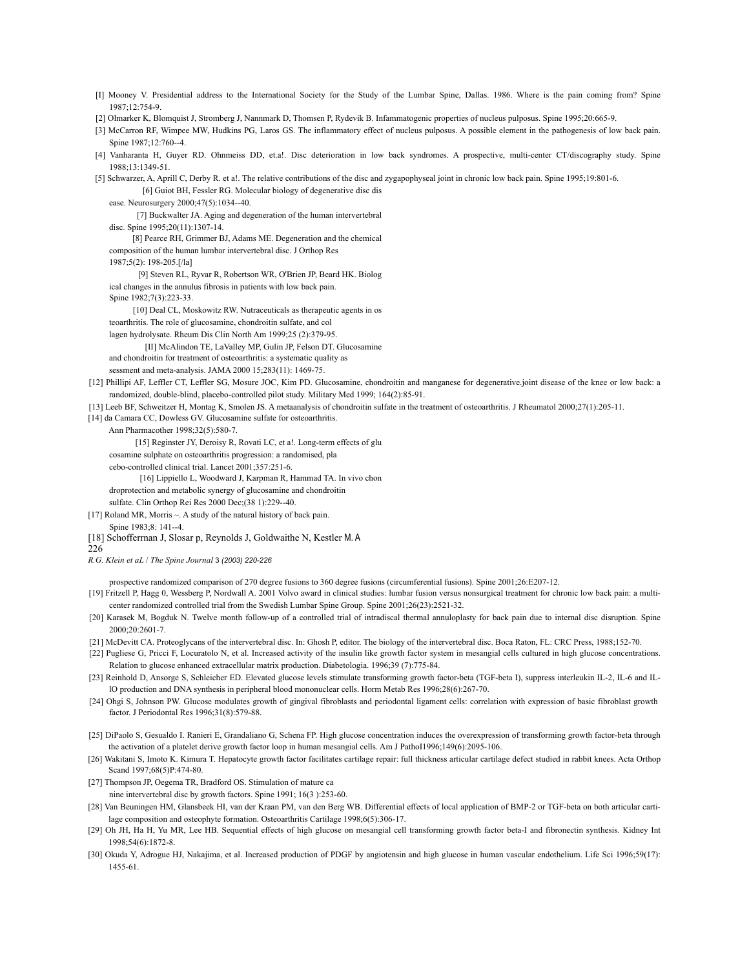- [I] Mooney V. Presidential address to the International Society for the Study of the Lumbar Spine, Dallas. 1986. Where is the pain coming from? Spine 1987;12:754-9.
- [2] Olmarker K, Blomquist J, Stromberg J, Nannmark D, Thomsen P, Rydevik B. Infammatogenic properties of nucleus pulposus. Spine 1995;20:665-9.
- [3] McCarron RF, Wimpee MW, Hudkins PG, Laros GS. The inflammatory effect of nucleus pulposus. A possible element in the pathogenesis of low back pain. Spine 1987;12:760--4.
- [4] Vanharanta H, Guyer RD. Ohnmeiss DD, et.a!. Disc deterioration in low back syndromes. A prospective, multi-center CT/discography study. Spine 1988;13:1349-51.
- [5] Schwarzer, A, Aprill C, Derby R. et a!. The relative contributions of the disc and zygapophyseal joint in chronic low back pain. Spine 1995;19:801-6. [6] Guiot BH, Fessler RG. Molecular biology of degenerative disc dis
	- ease. Neurosurgery 2000;47(5):1034--40.

 [7] Buckwalter JA. Aging and degeneration of the human intervertebral disc. Spine 1995;20(11):1307-14.

- 
- [8] Pearce RH, Grimmer BJ, Adams ME. Degeneration and the chemical composition of the human lumbar intervertebral disc. J Orthop Res
- 1987;5(2): 198-205.[/la]

 [9] Steven RL, Ryvar R, Robertson WR, O'Brien JP, Beard HK. Biolog ical changes in the annulus fibrosis in patients with low back pain.

Spine 1982:7(3):223-33.

[10] Deal CL, Moskowitz RW. Nutraceuticals as therapeutic agents in os

teoarthritis. The role of glucosamine, chondroitin sulfate, and col

lagen hydrolysate. Rheum Dis Clin North Am 1999;25 (2):379-95.

[II] McAlindon TE, LaValley MP, Gulin JP, Felson DT. Glucosamine

and chondroitin for treatment of osteoarthritis: a systematic quality as

- sessment and meta-analysis. JAMA 2000 15;283(11): 1469-75.
- [12] Phillipi AF, Leffler CT, Leffler SG, Mosure JOC, Kim PD. Glucosamine, chondroitin and manganese for degenerative.joint disease of the knee or low back: a randomized, double-blind, placebo-controlled pilot study. Military Med 1999; 164(2):85-91.
- [13] Leeb BF, Schweitzer H, Montag K, Smolen JS. A metaanalysis of chondroitin sulfate in the treatment of osteoarthritis. J Rheumatol 2000;27(1):205-11.
- [14] da Camara CC, Dowless GV. Glucosamine sulfate for osteoarthritis.

Ann Pharmacother 1998;32(5):580-7.

[15] Reginster JY, Deroisy R, Rovati LC, et a!. Long-term effects of glu

- cosamine sulphate on osteoarthritis progression: a randomised, pla
- cebo-controlled clinical trial. Lancet 2001;357:251-6.

[16] Lippiello L, Woodward J, Karpman R, Hammad TA. In vivo chon

droprotection and metabolic synergy of glucosamine and chondroitin

sulfate. Clin Orthop Rei Res 2000 Dec;(38 1):229--40.

- [17] Roland MR, Morris ~. A study of the natural history of back pain. Spine 1983;8: 141--4.
- [18] Schofferrnan J, Slosar p, Reynolds J, Goldwaithe N, Kestler M. A
- 226

*R.G. Klein et aL* / *The Spine Journal* 3 *(2003) 220-226*

prospective randomized comparison of 270 degree fusions to 360 degree fusions (circumferential fusions). Spine 2001;26:E207-12.

- [19] Fritzell P, Hagg 0, Wessberg P, Nordwall A. 2001 Volvo award in clinical studies: lumbar fusion versus nonsurgical treatment for chronic low back pain: a multicenter randomized controlled trial from the Swedish Lumbar Spine Group. Spine 2001;26(23):2521-32.
- [20] Karasek M, Bogduk N. Twelve month follow-up of a controlled trial of intradiscal thermal annuloplasty for back pain due to internal disc disruption. Spine 2000;20:2601-7.
- [21] McDevitt CA. Proteoglycans of the intervertebral disc. In: Ghosh P, editor. The biology of the intervertebral disc. Boca Raton, FL: CRC Press, 1988;152-70.
- [22] Pugliese G, Pricci F, Locuratolo N, et al. Increased activity of the insulin like growth factor system in mesangial cells cultured in high glucose concentrations. Relation to glucose enhanced extracellular matrix production. Diabetologia. 1996;39 (7):775-84.
- [23] Reinhold D, Ansorge S, Schleicher ED. Elevated glucose levels stimulate transforming growth factor-beta (TGF-beta I), suppress interleukin IL-2, IL-6 and ILlO production and DNA synthesis in peripheral blood mononuclear cells. Horm Metab Res 1996;28(6):267-70.
- [24] Ohgi S, Johnson PW. Glucose modulates growth of gingival fibroblasts and periodontal ligament cells: correlation with expression of basic fibroblast growth factor. J Periodontal Res 1996;31(8):579-88.
- [25] DiPaolo S, Gesualdo I. Ranieri E, Grandaliano G, Schena FP. High glucose concentration induces the overexpression of transforming growth factor-beta through the activation of a platelet derive growth factor loop in human mesangial cells. Am J PathoI1996;149(6):2095-106.
- [26] Wakitani S, Imoto K. Kimura T. Hepatocyte growth factor facilitates cartilage repair: full thickness articular cartilage defect studied in rabbit knees. Acta Orthop Scand 1997;68(5)P:474-80.
- [27] Thompson JP, Oegema TR, Bradford OS. Stimulation of mature ca nine intervertebral disc by growth factors. Spine 1991; 16(3 ):253-60.
- [28] Van Beuningen HM, Glansbeek HI, van der Kraan PM, van den Berg WB. Differential effects of local application of BMP-2 or TGF-beta on both articular cartilage composition and osteophyte formation. Osteoarthritis Cartilage 1998;6(5):306-17.
- [29] Oh JH, Ha H, Yu MR, Lee HB. Sequential effects of high glucose on mesangial cell transforming growth factor beta-I and fibronectin synthesis. Kidney Int 1998;54(6):1872-8.
- [30] Okuda Y, Adrogue HJ, Nakajima, et al. Increased production of PDGF by angiotensin and high glucose in human vascular endothelium. Life Sci 1996;59(17): 1455-61.